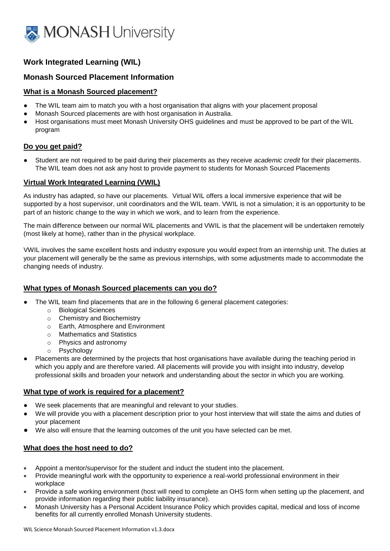

# **Work Integrated Learning (WIL)**

# **Monash Sourced Placement Information**

### **What is a Monash Sourced placement?**

- The WIL team aim to match you with a host organisation that aligns with your placement proposal
- Monash Sourced placements are with host organisation in Australia.
- Host organisations must meet Monash University OHS guidelines and must be approved to be part of the WIL program

### **Do you get paid?**

Student are not required to be paid during their placements as they receive *academic credit* for their placements. The WIL team does not ask any host to provide payment to students for Monash Sourced Placements

# **Virtual Work Integrated Learning (VWIL)**

As industry has adapted, so have our placements. Virtual WIL offers a local immersive experience that will be supported by a host supervisor, unit coordinators and the WIL team. VWIL is not a simulation; it is an opportunity to be part of an historic change to the way in which we work, and to learn from the experience.

The main difference between our normal WIL placements and VWIL is that the placement will be undertaken remotely (most likely at home), rather than in the physical workplace.

VWIL involves the same excellent hosts and industry exposure you would expect from an internship unit. The duties at your placement will generally be the same as previous internships, with some adjustments made to accommodate the changing needs of industry.

# **What types of Monash Sourced placements can you do?**

- The WIL team find placements that are in the following 6 general placement categories:
	- o Biological Sciences
	- o Chemistry and Biochemistry
	- o Earth, Atmosphere and Environment
	- o Mathematics and Statistics
	- o Physics and astronomy
	- o Psychology
- Placements are determined by the projects that host organisations have available during the teaching period in which you apply and are therefore varied. All placements will provide you with insight into industry, develop professional skills and broaden your network and understanding about the sector in which you are working.

### **What type of work is required for a placement?**

- We seek placements that are meaningful and relevant to your studies.
- We will provide you with a placement description prior to your host interview that will state the aims and duties of your placement
- We also will ensure that the learning outcomes of the unit you have selected can be met.

# **What does the host need to do?**

- Appoint a mentor/supervisor for the student and induct the student into the placement.
- Provide meaningful work with the opportunity to experience a real-world professional environment in their workplace
- Provide a safe working environment (host will need to complete an OHS form when setting up the placement, and provide information regarding their public liability insurance).
- Monash University has a Personal Accident Insurance Policy which provides capital, medical and loss of income benefits for all currently enrolled Monash University students.